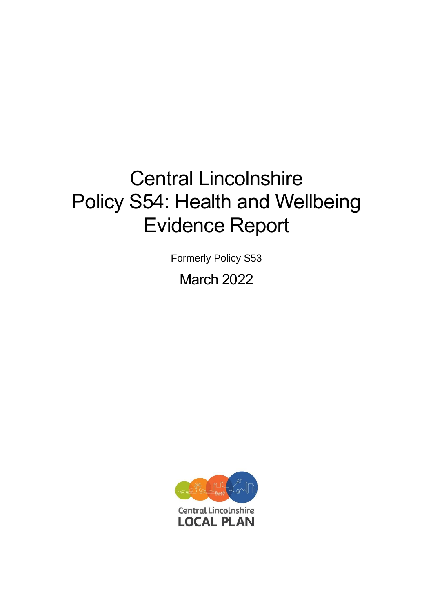# Central Lincolnshire Policy S54: Health and Wellbeing Evidence Report

Formerly Policy S53

March 2022

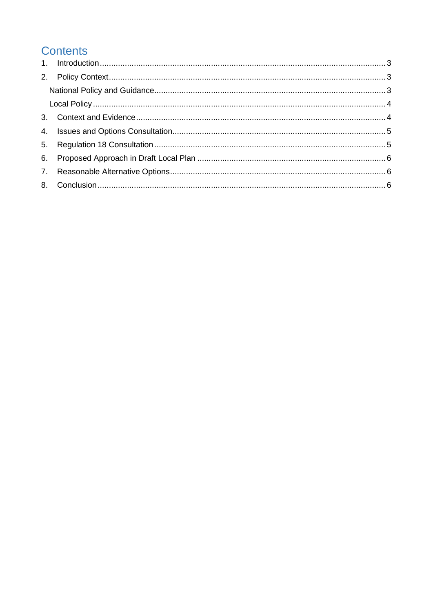# **Contents**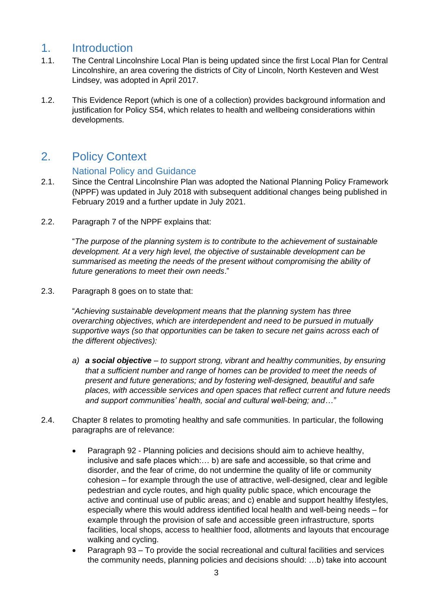## <span id="page-2-0"></span>1. Introduction

- 1.1. The Central Lincolnshire Local Plan is being updated since the first Local Plan for Central Lincolnshire, an area covering the districts of City of Lincoln, North Kesteven and West Lindsey, was adopted in April 2017.
- 1.2. This Evidence Report (which is one of a collection) provides background information and justification for Policy S54, which relates to health and wellbeing considerations within developments.

## <span id="page-2-1"></span>2. Policy Context

#### National Policy and Guidance

- <span id="page-2-2"></span>2.1. Since the Central Lincolnshire Plan was adopted the National Planning Policy Framework (NPPF) was updated in July 2018 with subsequent additional changes being published in February 2019 and a further update in July 2021.
- 2.2. Paragraph 7 of the NPPF explains that:

"*The purpose of the planning system is to contribute to the achievement of sustainable development. At a very high level, the objective of sustainable development can be summarised as meeting the needs of the present without compromising the ability of future generations to meet their own needs*."

2.3. Paragraph 8 goes on to state that:

"*Achieving sustainable development means that the planning system has three overarching objectives, which are interdependent and need to be pursued in mutually supportive ways (so that opportunities can be taken to secure net gains across each of the different objectives):*

- *a) a social objective – to support strong, vibrant and healthy communities, by ensuring that a sufficient number and range of homes can be provided to meet the needs of present and future generations; and by fostering well-designed, beautiful and safe places, with accessible services and open spaces that reflect current and future needs and support communities' health, social and cultural well-being; and…"*
- 2.4. Chapter 8 relates to promoting healthy and safe communities. In particular, the following paragraphs are of relevance:
	- Paragraph 92 Planning policies and decisions should aim to achieve healthy, inclusive and safe places which:… b) are safe and accessible, so that crime and disorder, and the fear of crime, do not undermine the quality of life or community cohesion – for example through the use of attractive, well-designed, clear and legible pedestrian and cycle routes, and high quality public space, which encourage the active and continual use of public areas; and c) enable and support healthy lifestyles, especially where this would address identified local health and well-being needs – for example through the provision of safe and accessible green infrastructure, sports facilities, local shops, access to healthier food, allotments and layouts that encourage walking and cycling.
	- Paragraph 93 To provide the social recreational and cultural facilities and services the community needs, planning policies and decisions should: …b) take into account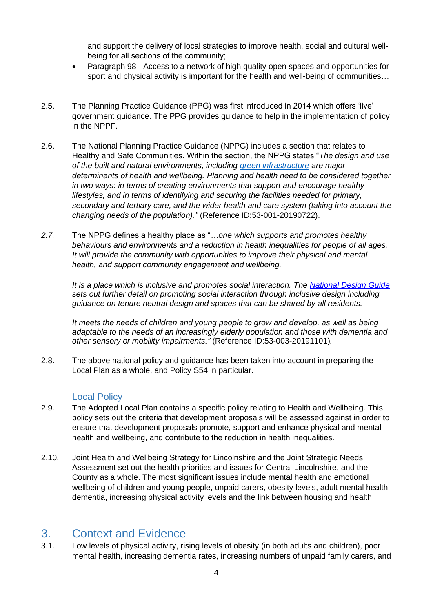and support the delivery of local strategies to improve health, social and cultural wellbeing for all sections of the community;…

- Paragraph 98 Access to a network of high quality open spaces and opportunities for sport and physical activity is important for the health and well-being of communities…
- 2.5. The Planning Practice Guidance (PPG) was first introduced in 2014 which offers 'live' government guidance. The PPG provides guidance to help in the implementation of policy in the NPPF.
- 2.6. The National Planning Practice Guidance (NPPG) includes a section that relates to Healthy and Safe Communities. Within the section, the NPPG states "*The design and use of the built and natural environments, including [green infrastructure](https://www.gov.uk/guidance/natural-environment#green-infrastructure) are major determinants of health and wellbeing. Planning and health need to be considered together in two ways: in terms of creating environments that support and encourage healthy lifestyles, and in terms of identifying and securing the facilities needed for primary, secondary and tertiary care, and the wider health and care system (taking into account the changing needs of the population)."* (Reference ID:53-001-20190722).
- *2.7.* The NPPG defines a healthy place as "*…one which supports and promotes healthy behaviours and environments and a reduction in health inequalities for people of all ages. It will provide the community with opportunities to improve their physical and mental health, and support community engagement and wellbeing.*

*It is a place which is inclusive and promotes social interaction. The [National Design Guide](https://www.gov.uk/government/publications/national-design-guide) sets out further detail on promoting social interaction through inclusive design including guidance on tenure neutral design and spaces that can be shared by all residents.*

*It meets the needs of children and young people to grow and develop, as well as being adaptable to the needs of an increasingly elderly population and those with dementia and other sensory or mobility impairments."* (Reference ID:53-003-20191101)*.*

2.8. The above national policy and guidance has been taken into account in preparing the Local Plan as a whole, and Policy S54 in particular.

#### Local Policy

- <span id="page-3-0"></span>2.9. The Adopted Local Plan contains a specific policy relating to Health and Wellbeing. This policy sets out the criteria that development proposals will be assessed against in order to ensure that development proposals promote, support and enhance physical and mental health and wellbeing, and contribute to the reduction in health inequalities.
- 2.10. Joint Health and Wellbeing Strategy for Lincolnshire and the Joint Strategic Needs Assessment set out the health priorities and issues for Central Lincolnshire, and the County as a whole. The most significant issues include mental health and emotional wellbeing of children and young people, unpaid carers, obesity levels, adult mental health, dementia, increasing physical activity levels and the link between housing and health.

#### <span id="page-3-1"></span>3. Context and Evidence

3.1. Low levels of physical activity, rising levels of obesity (in both adults and children), poor mental health, increasing dementia rates, increasing numbers of unpaid family carers, and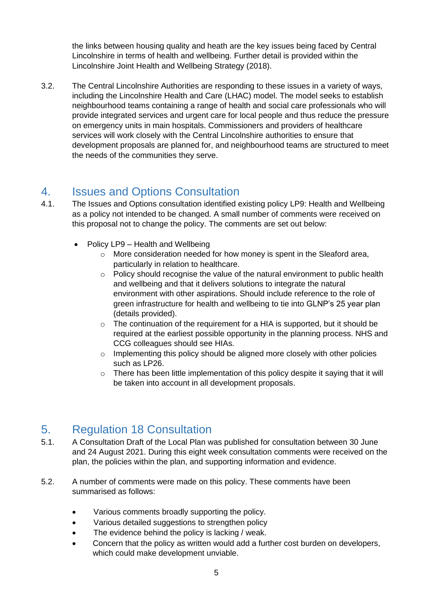the links between housing quality and heath are the key issues being faced by Central Lincolnshire in terms of health and wellbeing. Further detail is provided within the Lincolnshire Joint Health and Wellbeing Strategy (2018).

3.2. The Central Lincolnshire Authorities are responding to these issues in a variety of ways, including the Lincolnshire Health and Care (LHAC) model. The model seeks to establish neighbourhood teams containing a range of health and social care professionals who will provide integrated services and urgent care for local people and thus reduce the pressure on emergency units in main hospitals. Commissioners and providers of healthcare services will work closely with the Central Lincolnshire authorities to ensure that development proposals are planned for, and neighbourhood teams are structured to meet the needs of the communities they serve.

## <span id="page-4-0"></span>4. Issues and Options Consultation

- 4.1. The Issues and Options consultation identified existing policy LP9: Health and Wellbeing as a policy not intended to be changed. A small number of comments were received on this proposal not to change the policy. The comments are set out below:
	- Policy LP9 Health and Wellbeing
		- o More consideration needed for how money is spent in the Sleaford area, particularly in relation to healthcare.
		- o Policy should recognise the value of the natural environment to public health and wellbeing and that it delivers solutions to integrate the natural environment with other aspirations. Should include reference to the role of green infrastructure for health and wellbeing to tie into GLNP's 25 year plan (details provided).
		- $\circ$  The continuation of the requirement for a HIA is supported, but it should be required at the earliest possible opportunity in the planning process. NHS and CCG colleagues should see HIAs.
		- o Implementing this policy should be aligned more closely with other policies such as LP26.
		- $\circ$  There has been little implementation of this policy despite it saying that it will be taken into account in all development proposals.

## <span id="page-4-1"></span>5. Regulation 18 Consultation

- 5.1. A Consultation Draft of the Local Plan was published for consultation between 30 June and 24 August 2021. During this eight week consultation comments were received on the plan, the policies within the plan, and supporting information and evidence.
- 5.2. A number of comments were made on this policy. These comments have been summarised as follows:
	- Various comments broadly supporting the policy.
	- Various detailed suggestions to strengthen policy
	- The evidence behind the policy is lacking / weak.
	- Concern that the policy as written would add a further cost burden on developers, which could make development unviable.